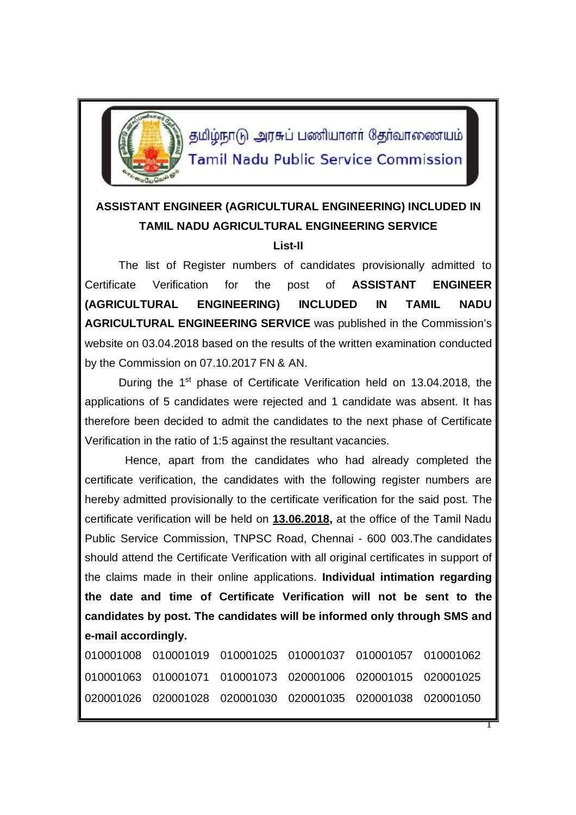

தமிழ்நாடு அரசுப் பணியாளர் தேர்வாணையம் **Tamil Nadu Public Service Commission** 

## **ASSISTANT ENGINEER (AGRICULTURAL ENGINEERING) INCLUDED IN TAMIL NADU AGRICULTURAL ENGINEERING SERVICE**

## **List-II**

The list of Register numbers of candidates provisionally admitted to Certificate Verification for the post of **ASSISTANT ENGINEER (AGRICULTURAL ENGINEERING) INCLUDED IN TAMIL NADU AGRICULTURAL ENGINEERING SERVICE** was published in the Commission's website on 03.04.2018 based on the results of the written examination conducted by the Commission on 07.10.2017 FN & AN.

During the 1<sup>st</sup> phase of Certificate Verification held on 13.04.2018, the applications of 5 candidates were rejected and 1 candidate was absent. It has therefore been decided to admit the candidates to the next phase of Certificate Verification in the ratio of 1:5 against the resultant vacancies.

 Hence, apart from the candidates who had already completed the certificate verification, the candidates with the following register numbers are hereby admitted provisionally to the certificate verification for the said post. The certificate verification will be held on **13.06.2018,** at the office of the Tamil Nadu Public Service Commission, TNPSC Road, Chennai - 600 003.The candidates should attend the Certificate Verification with all original certificates in support of the claims made in their online applications. **Individual intimation regarding the date and time of Certificate Verification will not be sent to the candidates by post. The candidates will be informed only through SMS and e-mail accordingly.**

| 010001008  010001019  010001025  010001037  010001057  010001062 |  |  |
|------------------------------------------------------------------|--|--|
| 010001063  010001071  010001073  020001006  020001015  020001025 |  |  |
| 020001026 020001028 020001030 020001035 020001038 020001050      |  |  |

1